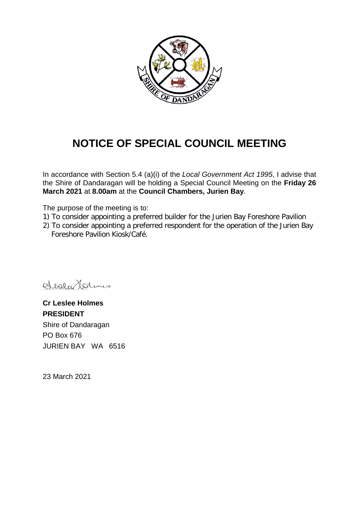

# **NOTICE OF SPECIAL COUNCIL MEETING**

In accordance with Section 5.4 (a)(i) of the *Local Government Act 1995*, I advise that the Shire of Dandaragan will be holding a Special Council Meeting on the **Friday 26 March 2021** at **8.00am** at the **Council Chambers, Jurien Bay**.

The purpose of the meeting is to:

- 1) To consider appointing a preferred builder for the Jurien Bay Foreshore Pavilion
- 2) To consider appointing a preferred respondent for the operation of the Jurien Bay Foreshore Pavilion Kiosk/Café.

deslatedlams

**Cr Leslee Holmes PRESIDENT** Shire of Dandaragan PO Box 676 JURIEN BAY WA 6516

23 March 2021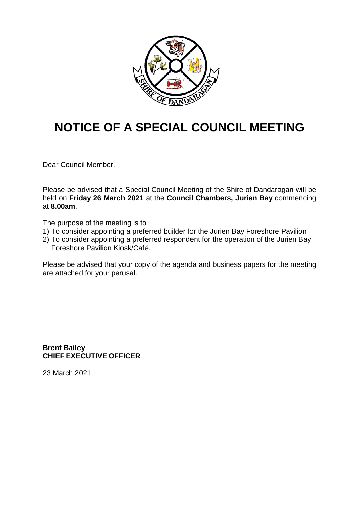

# **NOTICE OF A SPECIAL COUNCIL MEETING**

Dear Council Member,

Please be advised that a Special Council Meeting of the Shire of Dandaragan will be held on **Friday 26 March 2021** at the **Council Chambers, Jurien Bay** commencing at **8.00am**.

The purpose of the meeting is to

- 1) To consider appointing a preferred builder for the Jurien Bay Foreshore Pavilion
- 2) To consider appointing a preferred respondent for the operation of the Jurien Bay Foreshore Pavilion Kiosk/Café.

Please be advised that your copy of the agenda and business papers for the meeting are attached for your perusal.

**Brent Bailey CHIEF EXECUTIVE OFFICER**

23 March 2021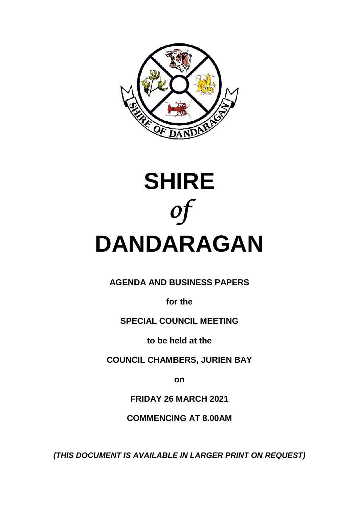



**AGENDA AND BUSINESS PAPERS**

**for the**

**SPECIAL COUNCIL MEETING**

**to be held at the**

**COUNCIL CHAMBERS, JURIEN BAY**

**on**

**FRIDAY 26 MARCH 2021**

**COMMENCING AT 8.00AM**

*(THIS DOCUMENT IS AVAILABLE IN LARGER PRINT ON REQUEST)*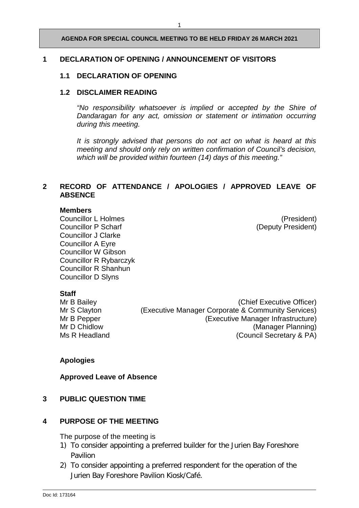# **1 DECLARATION OF OPENING / ANNOUNCEMENT OF VISITORS**

# **1.1 DECLARATION OF OPENING**

# **1.2 DISCLAIMER READING**

*"No responsibility whatsoever is implied or accepted by the Shire of Dandaragan for any act, omission or statement or intimation occurring during this meeting.*

*It is strongly advised that persons do not act on what is heard at this meeting and should only rely on written confirmation of Council's decision, which will be provided within fourteen (14) days of this meeting."*

# **2 RECORD OF ATTENDANCE / APOLOGIES / APPROVED LEAVE OF ABSENCE**

# **Members**

Councillor L Holmes<br>
Councillor P Scharf<br>
Councillor P Scharf

Councillor Councillor P Scharf

Councillor P Scharf

Councillor B Scharf

Councillor C Scharf

Councillor B Scharf

Councillor B Scharf Councillor J Clarke Councillor A Eyre Councillor W Gibson Councillor R Rybarczyk Councillor R Shanhun Councillor D Slyns

(Deputy President)

**Staff**<br>Mr B Bailey

(Chief Executive Officer) Mr S Clayton (Executive Manager Corporate & Community Services) Mr B Pepper (Executive Manager Infrastructure)<br>Mr D Chidlow (Manager Planning) Mr D Chidlow (Manager Planning)<br>
Ms R Headland (Council Secretary & PA) (Council Secretary & PA)

# **Apologies**

**Approved Leave of Absence**

#### **3 PUBLIC QUESTION TIME**

# **4 PURPOSE OF THE MEETING**

The purpose of the meeting is

- 1) To consider appointing a preferred builder for the Jurien Bay Foreshore Pavilion
- 2) To consider appointing a preferred respondent for the operation of the Jurien Bay Foreshore Pavilion Kiosk/Café.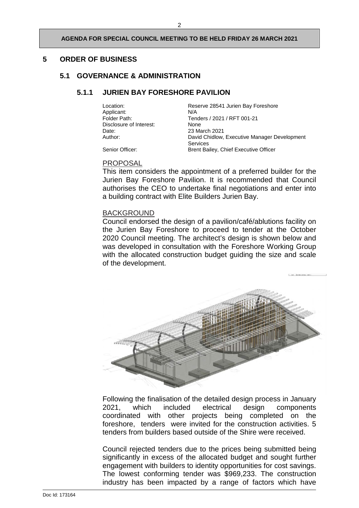# **5 ORDER OF BUSINESS**

# **5.1 GOVERNANCE & ADMINISTRATION**

# **5.1.1 JURIEN BAY FORESHORE PAVILION**

Applicant:<br>Folder Path: Disclosure of Interest: None<br>Date: 23 Ma Date: 23 March 2021<br>
Author: 2021 David Chidlow

Location: Reserve 28541 Jurien Bay Foreshore<br>  $N/A$ Tenders / 2021 / RFT 001-21 David Chidlow, Executive Manager Development Services Senior Officer: Brent Bailey, Chief Executive Officer

# PROPOSAL

This item considers the appointment of a preferred builder for the Jurien Bay Foreshore Pavilion. It is recommended that Council authorises the CEO to undertake final negotiations and enter into a building contract with Elite Builders Jurien Bay.

#### BACKGROUND

Council endorsed the design of a pavilion/café/ablutions facility on the Jurien Bay Foreshore to proceed to tender at the October 2020 Council meeting. The architect's design is shown below and was developed in consultation with the Foreshore Working Group with the allocated construction budget guiding the size and scale of the development.



Following the finalisation of the detailed design process in January 2021, which included electrical design components coordinated with other projects being completed on the foreshore, tenders were invited for the construction activities. 5 tenders from builders based outside of the Shire were received.

Council rejected tenders due to the prices being submitted being significantly in excess of the allocated budget and sought further engagement with builders to identity opportunities for cost savings. The lowest conforming tender was \$969,233. The construction industry has been impacted by a range of factors which have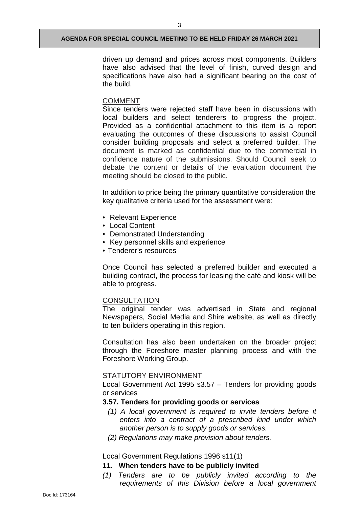driven up demand and prices across most components. Builders have also advised that the level of finish, curved design and specifications have also had a significant bearing on the cost of the build.

# COMMENT

Since tenders were rejected staff have been in discussions with local builders and select tenderers to progress the project. Provided as a confidential attachment to this item is a report evaluating the outcomes of these discussions to assist Council consider building proposals and select a preferred builder. The document is marked as confidential due to the commercial in confidence nature of the submissions. Should Council seek to debate the content or details of the evaluation document the meeting should be closed to the public.

In addition to price being the primary quantitative consideration the key qualitative criteria used for the assessment were:

- Relevant Experience
- Local Content
- Demonstrated Understanding
- Key personnel skills and experience
- Tenderer's resources

Once Council has selected a preferred builder and executed a building contract, the process for leasing the café and kiosk will be able to progress.

## **CONSULTATION**

The original tender was advertised in State and regional Newspapers, Social Media and Shire website, as well as directly to ten builders operating in this region.

Consultation has also been undertaken on the broader project through the Foreshore master planning process and with the Foreshore Working Group.

#### STATUTORY ENVIRONMENT

Local Government Act 1995 s3.57 – Tenders for providing goods or services

# **3.57. Tenders for providing goods or services**

- *(1) A local government is required to invite tenders before it enters into a contract of a prescribed kind under which another person is to supply goods or services.*
- *(2) Regulations may make provision about tenders.*

Local Government Regulations 1996 s11(1)

# **11. When tenders have to be publicly invited**

*(1) Tenders are to be publicly invited according to the requirements of this Division before a local government*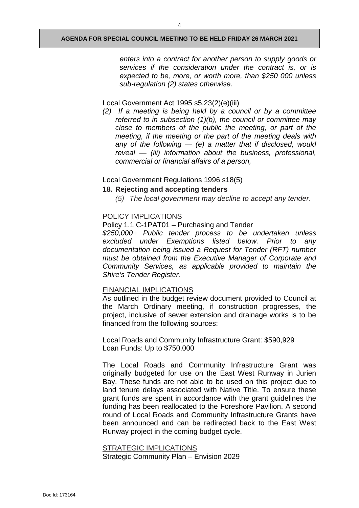4

*enters into a contract for another person to supply goods or services if the consideration under the contract is, or is expected to be, more, or worth more, than \$250 000 unless sub-regulation (2) states otherwise.* 

# Local Government Act 1995 s5.23(2)(e)(iii)

*(2) If a meeting is being held by a council or by a committee referred to in subsection (1)(b), the council or committee may close to members of the public the meeting, or part of the meeting, if the meeting or the part of the meeting deals with any of the following — (e) a matter that if disclosed, would reveal — (iii) information about the business, professional, commercial or financial affairs of a person,*

# Local Government Regulations 1996 s18(5)

# **18. Rejecting and accepting tenders**

*(5) The local government may decline to accept any tender*.

# POLICY IMPLICATIONS

# Policy 1.1 C-1PAT01 – Purchasing and Tender

*\$250,000+ Public tender process to be undertaken unless excluded under Exemptions listed below. Prior to any documentation being issued a Request for Tender (RFT) number must be obtained from the Executive Manager of Corporate and Community Services, as applicable provided to maintain the Shire's Tender Register.*

# FINANCIAL IMPLICATIONS

As outlined in the budget review document provided to Council at the March Ordinary meeting, if construction progresses, the project, inclusive of sewer extension and drainage works is to be financed from the following sources:

Local Roads and Community Infrastructure Grant: \$590,929 Loan Funds: Up to \$750,000

The Local Roads and Community Infrastructure Grant was originally budgeted for use on the East West Runway in Jurien Bay. These funds are not able to be used on this project due to land tenure delays associated with Native Title. To ensure these grant funds are spent in accordance with the grant guidelines the funding has been reallocated to the Foreshore Pavilion. A second round of Local Roads and Community Infrastructure Grants have been announced and can be redirected back to the East West Runway project in the coming budget cycle.

STRATEGIC IMPLICATIONS Strategic Community Plan – Envision 2029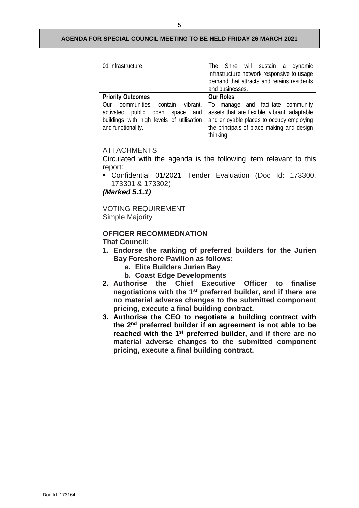| 01 Infrastructure                                                                                                                                        | The Shire will sustain a dynamic<br>infrastructure network responsive to usage<br>demand that attracts and retains residents<br>and businesses.                                              |
|----------------------------------------------------------------------------------------------------------------------------------------------------------|----------------------------------------------------------------------------------------------------------------------------------------------------------------------------------------------|
| <b>Priority Outcomes</b>                                                                                                                                 | <b>Our Roles</b>                                                                                                                                                                             |
| communities contain<br>vibrant,<br>Our<br>public<br>activated<br>space<br>and<br>open<br>buildings with high levels of utilisation<br>and functionality. | manage and facilitate community<br>To:<br>assets that are flexible, vibrant, adaptable<br>and enjoyable places to occupy employing<br>the principals of place making and design<br>thinking. |

# ATTACHMENTS

Circulated with the agenda is the following item relevant to this report:

 Confidential 01/2021 Tender Evaluation (Doc Id: 173300, 173301 & 173302)

*(Marked 5.1.1)*

VOTING REQUIREMENT Simple Majority

#### **OFFICER RECOMMEDNATION That Council:**

- **1. Endorse the ranking of preferred builders for the Jurien Bay Foreshore Pavilion as follows:**
	- **a. Elite Builders Jurien Bay**
	- **b. Coast Edge Developments**
- **2. Authorise the Chief Executive Officer to finalise negotiations with the 1st preferred builder, and if there are no material adverse changes to the submitted component pricing, execute a final building contract.**
- **3. Authorise the CEO to negotiate a building contract with the 2nd preferred builder if an agreement is not able to be reached with the 1st preferred builder, and if there are no material adverse changes to the submitted component pricing, execute a final building contract.**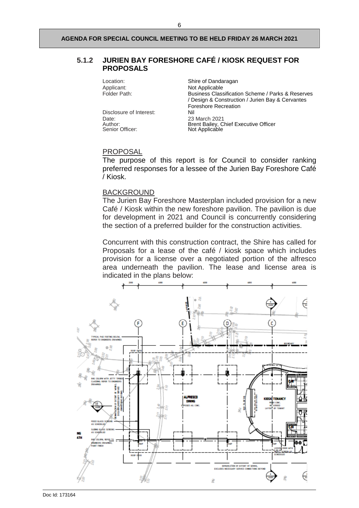# **5.1.2 JURIEN BAY FORESHORE CAFÉ / KIOSK REQUEST FOR PROPOSALS**

Disclosure of Interest:<br>Date: Date: 23 March 2021<br>Author: 2021 - 23 March 2021 Senior Officer: Not Applicable

Location: Shire of Dandaragan<br>Applicant: Shire of Dandaragan<br>Not Applicable Applicant: Not Applicable<br>
Folder Path: Not Applicable<br>
Business Class Business Classification Scheme / Parks & Reserves / Design & Construction / Jurien Bay & Cervantes Foreshore Recreation Author: **Brent Bailey, Chief Executive Officer** 

## PROPOSAL

The purpose of this report is for Council to consider ranking preferred responses for a lessee of the Jurien Bay Foreshore Café / Kiosk.

### BACKGROUND

The Jurien Bay Foreshore Masterplan included provision for a new Café / Kiosk within the new foreshore pavilion. The pavilion is due for development in 2021 and Council is concurrently considering the section of a preferred builder for the construction activities.

Concurrent with this construction contract, the Shire has called for Proposals for a lease of the café / kiosk space which includes provision for a license over a negotiated portion of the alfresco area underneath the pavilion. The lease and license area is indicated in the plans below:

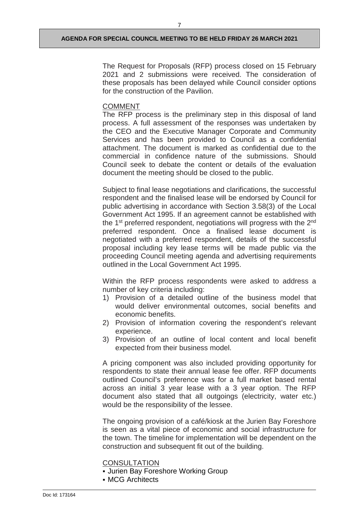7

The Request for Proposals (RFP) process closed on 15 February 2021 and 2 submissions were received. The consideration of these proposals has been delayed while Council consider options for the construction of the Pavilion.

# COMMENT

The RFP process is the preliminary step in this disposal of land process. A full assessment of the responses was undertaken by the CEO and the Executive Manager Corporate and Community Services and has been provided to Council as a confidential attachment. The document is marked as confidential due to the commercial in confidence nature of the submissions. Should Council seek to debate the content or details of the evaluation document the meeting should be closed to the public.

Subject to final lease negotiations and clarifications, the successful respondent and the finalised lease will be endorsed by Council for public advertising in accordance with Section 3.58(3) of the Local Government Act 1995. If an agreement cannot be established with the 1<sup>st</sup> preferred respondent, negotiations will progress with the 2<sup>nd</sup> preferred respondent. Once a finalised lease document is negotiated with a preferred respondent, details of the successful proposal including key lease terms will be made public via the proceeding Council meeting agenda and advertising requirements outlined in the Local Government Act 1995.

Within the RFP process respondents were asked to address a number of key criteria including:

- 1) Provision of a detailed outline of the business model that would deliver environmental outcomes, social benefits and economic benefits.
- 2) Provision of information covering the respondent's relevant experience.
- 3) Provision of an outline of local content and local benefit expected from their business model.

A pricing component was also included providing opportunity for respondents to state their annual lease fee offer. RFP documents outlined Council's preference was for a full market based rental across an initial 3 year lease with a 3 year option. The RFP document also stated that all outgoings (electricity, water etc.) would be the responsibility of the lessee.

The ongoing provision of a café/kiosk at the Jurien Bay Foreshore is seen as a vital piece of economic and social infrastructure for the town. The timeline for implementation will be dependent on the construction and subsequent fit out of the building.

**CONSULTATION** 

- Jurien Bay Foreshore Working Group
- MCG Architects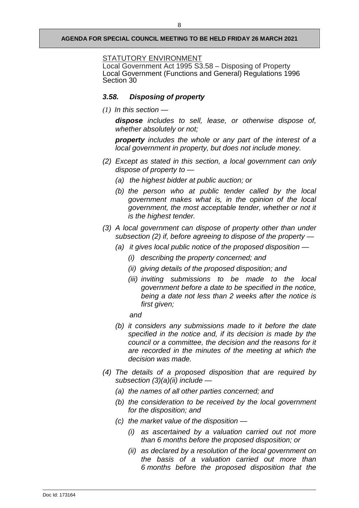#### STATUTORY ENVIRONMENT

Local Government Act 1995 S3.58 – Disposing of Property Local Government (Functions and General) Regulations 1996 Section 30

# *3.58. Disposing of property*

*(1) In this section —*

*dispose includes to sell, lease, or otherwise dispose of, whether absolutely or not;*

*property includes the whole or any part of the interest of a local government in property, but does not include money.*

- *(2) Except as stated in this section, a local government can only dispose of property to —*
	- *(a) the highest bidder at public auction; or*
	- *(b) the person who at public tender called by the local government makes what is, in the opinion of the local government, the most acceptable tender, whether or not it is the highest tender.*
- *(3) A local government can dispose of property other than under subsection (2) if, before agreeing to dispose of the property —*
	- *(a) it gives local public notice of the proposed disposition —*
		- *(i) describing the property concerned; and*
		- *(ii) giving details of the proposed disposition; and*
		- *(iii) inviting submissions to be made to the local government before a date to be specified in the notice, being a date not less than 2 weeks after the notice is first given;*

*and*

- *(b) it considers any submissions made to it before the date specified in the notice and, if its decision is made by the council or a committee, the decision and the reasons for it are recorded in the minutes of the meeting at which the decision was made.*
- *(4) The details of a proposed disposition that are required by subsection (3)(a)(ii) include —*
	- *(a) the names of all other parties concerned; and*
	- *(b) the consideration to be received by the local government for the disposition; and*
	- *(c) the market value of the disposition —*
		- *(i) as ascertained by a valuation carried out not more than 6 months before the proposed disposition; or*
		- *(ii) as declared by a resolution of the local government on the basis of a valuation carried out more than 6 months before the proposed disposition that the*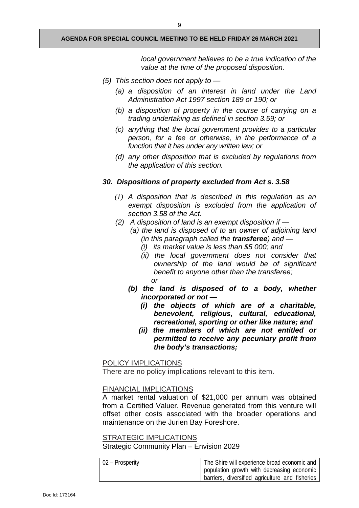*local government believes to be a true indication of the value at the time of the proposed disposition.*

- *(5) This section does not apply to —*
	- *(a) a disposition of an interest in land under the Land Administration Act 1997 section 189 or 190; or*
	- *(b) a disposition of property in the course of carrying on a trading undertaking as defined in section 3.59; or*
	- *(c) anything that the local government provides to a particular person, for a fee or otherwise, in the performance of a function that it has under any written law; or*
	- *(d) any other disposition that is excluded by regulations from the application of this section.*

# *30. Dispositions of property excluded from Act s. 3.58*

- *(1) A disposition that is described in this regulation as an exempt disposition is excluded from the application of section 3.58 of the Act.*
- *(2) A disposition of land is an exempt disposition if —*
	- *(a) the land is disposed of to an owner of adjoining land (in this paragraph called the transferee) and —*
		- *(i) its market value is less than \$5 000; and*
		- *(ii) the local government does not consider that ownership of the land would be of significant benefit to anyone other than the transferee; or*
	- *(b) the land is disposed of to a body, whether incorporated or not —*
		- *(i) the objects of which are of a charitable, benevolent, religious, cultural, educational, recreational, sporting or other like nature; and*
		- *(ii) the members of which are not entitled or permitted to receive any pecuniary profit from the body's transactions;*

# POLICY IMPLICATIONS

There are no policy implications relevant to this item.

# FINANCIAL IMPLICATIONS

A market rental valuation of \$21,000 per annum was obtained from a Certified Valuer. Revenue generated from this venture will offset other costs associated with the broader operations and maintenance on the Jurien Bay Foreshore.

# STRATEGIC IMPLICATIONS

Strategic Community Plan – Envision 2029

| $\vert 02 -$ Prosperity | The Shire will experience broad economic and    |
|-------------------------|-------------------------------------------------|
|                         | population growth with decreasing economic      |
|                         | barriers, diversified agriculture and fisheries |